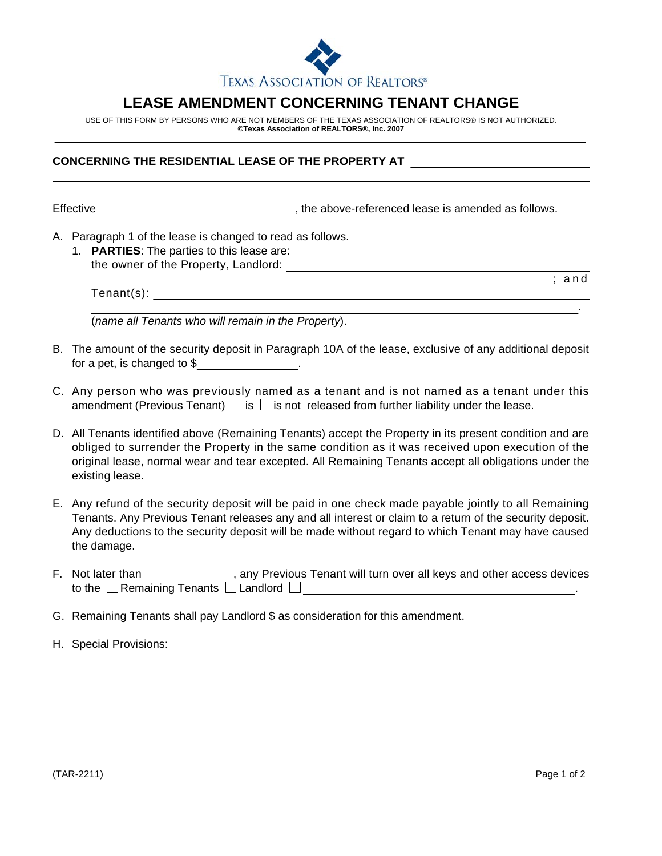

## **LEASE AMENDMENT CONCERNING TENANT CHANGE**

USE OF THIS FORM BY PERSONS WHO ARE NOT MEMBERS OF THE TEXAS ASSOCIATION OF REALTORS® IS NOT AUTHORIZED. **©Texas Association of REALTORS®, Inc. 2007**

## **CONCERNING THE RESIDENTIAL LEASE OF THE PROPERTY AT**

Effective **Effective** , the above-referenced lease is amended as follows.

- A. Paragraph 1 of the lease is changed to read as follows.
	- 1. **PARTIES**: The parties to this lease are: the owner of the Property, Landlord:

; and

.

(*name all Tenants who will remain in the Property*).

B. The amount of the security deposit in Paragraph 10A of the lease, exclusive of any additional deposit for a pet, is changed to \$ .

Tenant(s):

- C. Any person who was previously named as a tenant and is not named as a tenant under this amendment (Previous Tenant)  $\Box$  is  $\Box$  is not released from further liability under the lease.
- D. All Tenants identified above (Remaining Tenants) accept the Property in its present condition and are obliged to surrender the Property in the same condition as it was received upon execution of the original lease, normal wear and tear excepted. All Remaining Tenants accept all obligations under the existing lease.
- E. Any refund of the security deposit will be paid in one check made payable jointly to all Remaining Tenants. Any Previous Tenant releases any and all interest or claim to a return of the security deposit. Any deductions to the security deposit will be made without regard to which Tenant may have caused the damage.
- F. Not later than **Fig. 20. It is any Previous Tenant will turn over all keys and other access devices** to the Remaining Tenants Landlord .
- G. Remaining Tenants shall pay Landlord \$ as consideration for this amendment.
- H. Special Provisions: